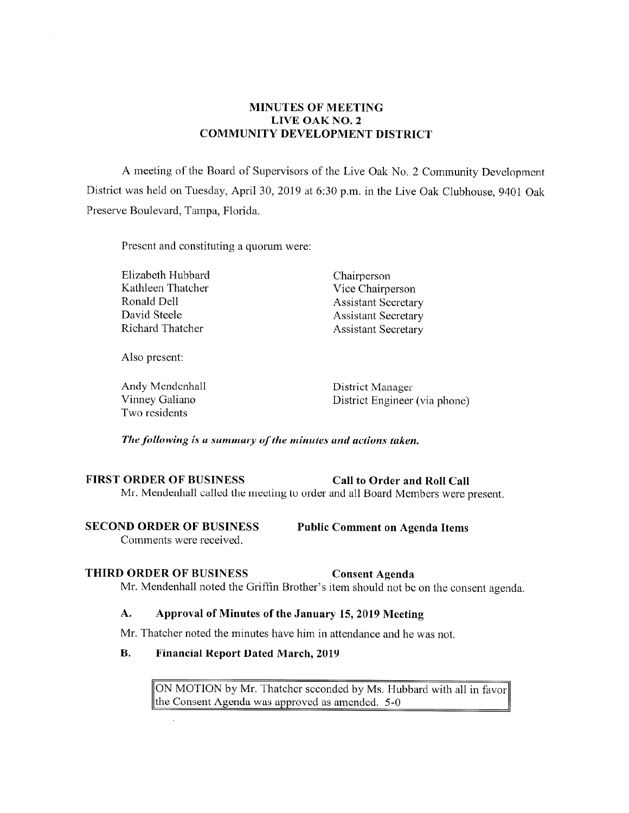# **MINUTES OF MEETING LIVE OAK NO. 2 COMMUNITY DEVELOPMENT DISTRICT**

A meeting of the Board of Supervisors of the Live Oak No. 2 Community Development District was held on Tuesday, April 30, 2019 at 6:30 p.m. in the Live Oak Clubhouse, 9401 Oak Preserve Boulevard, Tampa, Florida.

Present and constituting a quorum were:

Elizabeth Hubbard Chairperson Kathleen Thatcher Vice Chairperson Ronald Dell<br>
David Steele<br>
Assistant Secretary<br>
Assistant Secretary David Steele<br>
Richard Thatcher<br>
Richard Thatcher<br>
Assistant Secretary

**Assistant Secretary** 

Also present:

Andy Mendenhall District Manager Two residents

Vinney Galiano **District Engineer** (via phone)

*The following is a summary ofthe minutes and actions taken.* 

# FIRST ORDER OF BUSINESS Call to Order and Roll Call

Mr. Mendenhall called the meeting to order and all Board Members were present.

Comments were received.

**SECOND ORDER OF BUSINESS Public Comment on Agenda Items** 

# **THIRD ORDER OF BUSINESS Consent Agenda**

Mr. Mendenhall noted the Griffin Brother's item should not be on the consent agenda.

# **A. Approval of Minutes of the January 15, 2019 Meeting**

Mr. Thatcher noted the minutes have him in attendance and he was not.

## **B. Financial Report Dated March, 2019**

ON MOTION by Mr. Thatcher seconded by Ms. Hubbard with all in favor the Consent Agenda was approved as amended. 5-0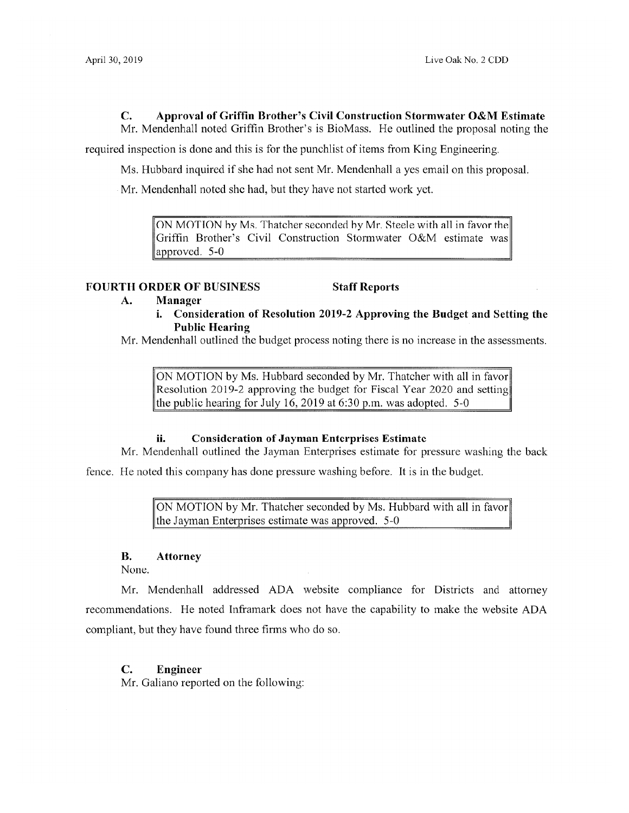# **C. Approval of Griffin Brother's Civil Construction Stormwater O&M Estimate**

Mr. Mendenhall noted Griffin Brother's is BioMass. He outlined the proposal noting the

required inspection is done and this is for the punchlist of items from King Engineering.

Ms. Hubbard inquired if she had not sent Mr. Mendenhall a yes email on this proposal.

Mr. Mendenhall noted she had, but they have not started work yet.

ON MOTION by Ms. Thatcher seconded by Mr. Steele with all in favor the Griffin Brother's Civil Construction Stormwater O&M estimate was approved. 5-0

### **FOURTH ORDER OF BUSINESS Staff Reports**

- **A. Manager** 
	- **i. Consideration of Resolution 2019-2 Approving the Budget and Setting the Public Hearing**

Mr. Mendenhall outlined the budget process noting there is no increase in the assessments.

ON MOTION by Ms. Hubbard seconded by Mr. Thatcher with all in favor Resolution 2019-2 approving the budget for Fiscal Year 2020 and setting the public hearing for July 16, 2019 at 6:30 p.m. was adopted.  $5\n-0$ 

#### **ii. Consideration of Jayman Enterprises Estimate**

Mr. Mendenhall outlined the Jayman Enterprises estimate for pressure washing the back

fence. He noted this company has done pressure washing before. It is in the budget.

ON MOTION by Mr. Thatcher seconded by Ms. Hubbard with all in favor the Jayman Enterprises estimate was approved.  $5-0$ 

#### **B. Attorney**

None.

Mr. Mendenhall addressed ADA website compliance for Districts and attorney recommendations. He noted Inframark does not have the capability to make the website ADA compliant, but they have found three firms who do so.

#### **C. Engineer**

Mr. Galiano reported on the following: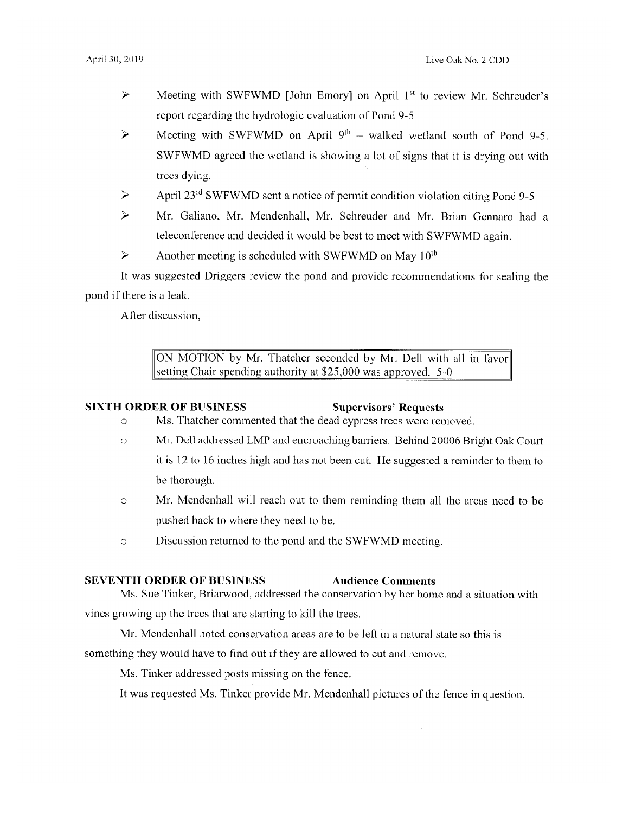- ► Meeting with SWFWMD [John Emory] on April 1st to review Mr. Schreuder's report regarding the hydrologic evaluation of Pond 9-5
- $\triangleright$  Meeting with SWFWMD on April 9<sup>th</sup> walked wetland south of Pond 9-5. SWFWMD agreed the wetland is showing a lot of signs that it is drying out with trees dying.
- $\triangleright$  April 23<sup>rd</sup> SWFWMD sent a notice of permit condition violation citing Pond 9-5
- ► Mr. Galiano, Mr. Mendenhall, Mr. Schreuder and Mr. Brian Gennaro had a teleconference and decided it would be best to meet with SWFWMD again.
- $\triangleright$  Another meeting is scheduled with SWFWMD on May 10<sup>th</sup>

It was suggested Driggers review the pond and provide recommendations for sealing the pond if there is a leak.

After discussion,

ON MOTION by Mr. Thatcher seconded by Mr. Dell with all in favor setting Chair spending authority at \$25,000 was approved. 5-0

# **SIXTH ORDER OF BUSINESS** Supervisors' Requests

- o Ms. Thatcher commented that the dead cypress trees were removed.
- o Mr. Dell addressed LMP and encroaching barriers. Behind 20006 Bright Oak Court it is 12 to 16 inches high and has not been cut. He suggested a reminder to them to be thorough.
- o Mr. Mendenhall will reach out to them reminding them all the areas need to be pushed back to where they need to be.
- o Discussion returned to the pond and the SWFWMD meeting.

#### **SEVENTH ORDER OF BUSINESS Audience Comments**

Ms. Sue Tinker, Briarwood, addressed the conservation by her home and a situation with vines growing up the trees that are starting to kill the trees.

Mr. Mendenhall noted conservation areas are to be left in a natural state so this is

something they would have to find out if they are allowed to cut and remove.

Ms. Tinker addressed posts missing on the fence.

It was requested Ms. Tinker provide Mr. Mendenhall pictures of the fence in question.